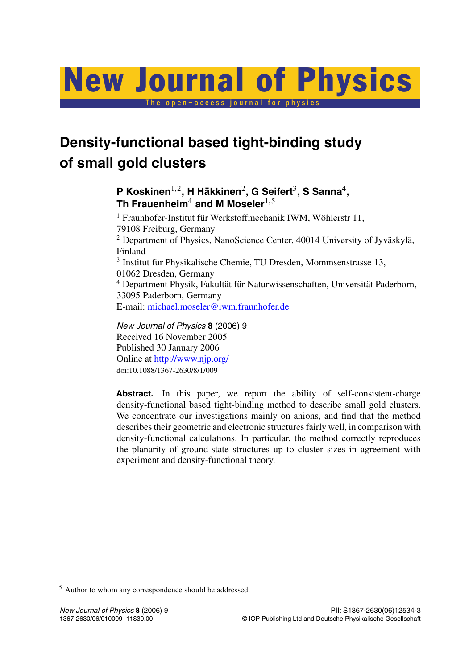# New Journal of Physics

The open–access journal for physics

# **Density-functional based tight-binding study of small gold clusters**

**P Koskinen**1*,*2**, H Häkkinen**2**, G Seifert**3**, S Sanna**4**, Th Frauenheim**<sup>4</sup> **and M Moseler**1*,*<sup>5</sup>

<sup>1</sup> Fraunhofer-Institut für Werkstoffmechanik IWM, Wöhlerstr 11, 79108 Freiburg, Germany <sup>2</sup> Department of Physics, NanoScience Center, 40014 University of Jyväskylä, Finland <sup>3</sup> Institut für Physikalische Chemie, TU Dresden, Mommsenstrasse 13, 01062 Dresden, Germany <sup>4</sup> Department Physik, Fakultät für Naturwissenschaften, Universität Paderborn, 33095 Paderborn, Germany E-mail: [michael.moseler@iwm.fraunhofer.de](mailto:michael.moseler@iwm.fraunhofer.de)

*New Journal of Physics* **8** (2006) 9 Received 16 November 2005 Published 30 January 2006 Online at <http://www.njp.org/> doi:10.1088/1367-2630/8/1/009

Abstract. In this paper, we report the ability of self-consistent-charge density-functional based tight-binding method to describe small gold clusters. We concentrate our investigations mainly on anions, and find that the method describes their geometric and electronic structures fairly well, in comparison with density-functional calculations. In particular, the method correctly reproduces the planarity of ground-state structures up to cluster sizes in agreement with experiment and density-functional theory.

<sup>5</sup> Author to whom any correspondence should be addressed.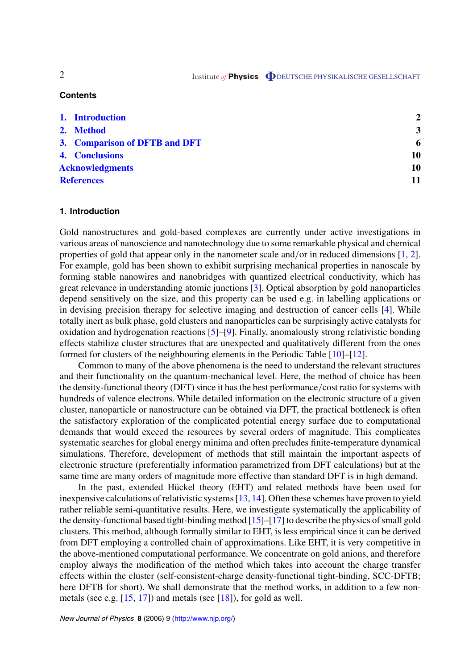### **Contents**

| 1. Introduction               |  | $\mathbf{2}$            |
|-------------------------------|--|-------------------------|
| 2. Method                     |  | $\overline{\mathbf{3}}$ |
| 3. Comparison of DFTB and DFT |  | 6                       |
| 4. Conclusions                |  | 10                      |
| <b>Acknowledgments</b>        |  | 10                      |
| <b>References</b>             |  | 11                      |

# **1. Introduction**

Gold nanostructures and gold-based complexes are currently under active investigations in various areas of nanoscience and nanotechnology due to some remarkable physical and chemical properties of gold that appear only in the nanometer scale and*/*or in reduced dimensions [\[1](#page-10-0), [2](#page-10-0)]. For example, gold has been shown to exhibit surprising mechanical properties in nanoscale by forming stable nanowires and nanobridges with quantized electrical conductivity, which has great relevance in understanding atomic junctions [\[3](#page-10-0)]. Optical absorption by gold nanoparticles depend sensitively on the size, and this property can be used e.g. in labelling applications or in devising precision therapy for selective imaging and destruction of cancer cells [[4](#page-10-0)]. While totally inert as bulk phase, gold clusters and nanoparticles can be surprisingly active catalysts for oxidation and hydrogenation reactions [\[5](#page-10-0)]–[\[9](#page-10-0)]. Finally, anomalously strong relativistic bonding effects stabilize cluster structures that are unexpected and qualitatively different from the ones formed for clusters of the neighbouring elements in the Periodic Table [\[10](#page-10-0)]–[\[12](#page-10-0)].

Common to many of the above phenomena is the need to understand the relevant structures and their functionality on the quantum-mechanical level. Here, the method of choice has been the density-functional theory (DFT) since it has the best performance*/*cost ratio for systems with hundreds of valence electrons. While detailed information on the electronic structure of a given cluster, nanoparticle or nanostructure can be obtained via DFT, the practical bottleneck is often the satisfactory exploration of the complicated potential energy surface due to computational demands that would exceed the resources by several orders of magnitude. This complicates systematic searches for global energy minima and often precludes finite-temperature dynamical simulations. Therefore, development of methods that still maintain the important aspects of electronic structure (preferentially information parametrized from DFT calculations) but at the same time are many orders of magnitude more effective than standard DFT is in high demand.

In the past, extended Hückel theory (EHT) and related methods have been used for inexpensive calculations of relativistic systems [[13,](#page-10-0) [14\]](#page-10-0). Often these schemes have proven to yield rather reliable semi-quantitative results. Here, we investigate systematically the applicability of the density-functional based tight-binding method [\[15](#page-10-0)]–[\[17](#page-10-0)] to describe the physics of small gold clusters. This method, although formally similar to EHT, is less empirical since it can be derived from DFT employing a controlled chain of approximations. Like EHT, it is very competitive in the above-mentioned computational performance. We concentrate on gold anions, and therefore employ always the modification of the method which takes into account the charge transfer effects within the cluster (self-consistent-charge density-functional tight-binding, SCC-DFTB; here DFTB for short). We shall demonstrate that the method works, in addition to a few nonmetals (see e.g. [[15,](#page-10-0) [17\]](#page-10-0)) and metals (see [\[18](#page-10-0)]), for gold as well.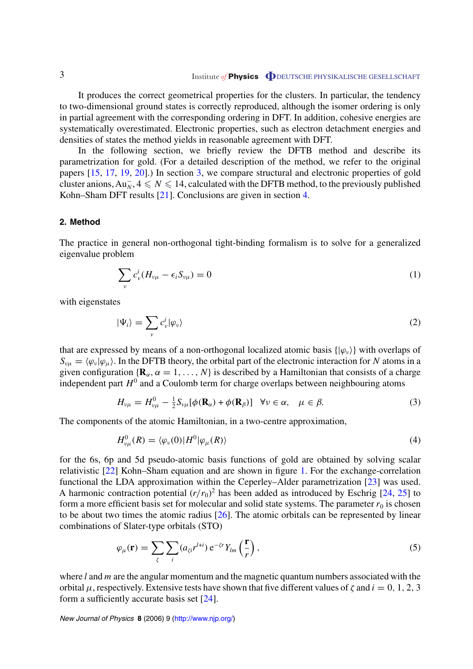<span id="page-2-0"></span>It produces the correct geometrical properties for the clusters. In particular, the tendency to two-dimensional ground states is correctly reproduced, although the isomer ordering is only in partial agreement with the corresponding ordering in DFT. In addition, cohesive energies are systematically overestimated. Electronic properties, such as electron detachment energies and densities of states the method yields in reasonable agreement with DFT.

In the following section, we briefly review the DFTB method and describe its parametrization for gold. (For a detailed description of the method, we refer to the original papers [[15,](#page-10-0) [17](#page-10-0), [19,](#page-10-0) [20\]](#page-10-0).) In section [3](#page-5-0), we compare structural and electronic properties of gold cluster anions,  $Au_N^-, 4 \leqslant N \leqslant 14$ , calculated with the DFTB method, to the previously published Kohn–Sham DFT results [\[21](#page-10-0)]. Conclusions are given in section [4.](#page-9-0)

# **2. Method**

The practice in general non-orthogonal tight-binding formalism is to solve for a generalized eigenvalue problem

$$
\sum_{\nu} c_{\nu}^i (H_{\nu\mu} - \epsilon_i S_{\nu\mu}) = 0 \tag{1}
$$

with eigenstates

$$
|\Psi_i\rangle = \sum_{\nu} c_{\nu}^i |\varphi_{\nu}\rangle
$$
 (2)

that are expressed by means of a non-orthogonal localized atomic basis  $\{\phi_{\nu}\}\$  with overlaps of  $S_{\nu\mu} = \langle \varphi_\nu | \varphi_\mu \rangle$ . In the DFTB theory, the orbital part of the electronic interaction for *N* atoms in a given configuration  $\{R_\alpha, \alpha = 1, \ldots, N\}$  is described by a Hamiltonian that consists of a charge independent part  $H^0$  and a Coulomb term for charge overlaps between neighbouring atoms

$$
H_{\nu\mu} = H_{\nu\mu}^0 - \frac{1}{2} S_{\nu\mu} [\phi(\mathbf{R}_{\alpha}) + \phi(\mathbf{R}_{\beta})] \quad \forall \nu \in \alpha, \quad \mu \in \beta.
$$
 (3)

The components of the atomic Hamiltonian, in a two-centre approximation,

$$
H_{\nu\mu}^{0}(R) = \langle \varphi_{\nu}(0) | H^{0} | \varphi_{\mu}(R) \rangle \tag{4}
$$

for the 6s, 6p and 5d pseudo-atomic basis functions of gold are obtained by solving scalar relativistic [[22\]](#page-10-0) Kohn–Sham equation and are shown in figure [1.](#page-3-0) For the exchange-correlation functional the LDA approximation within the Ceperley–Alder parametrization [\[23](#page-10-0)] was used. A harmonic contraction potential  $(r/r_0)^2$  has been added as introduced by Eschrig [[24,](#page-10-0) [25](#page-10-0)] to form a more efficient basis set for molecular and solid state systems. The parameter  $r_0$  is chosen to be about two times the atomic radius  $[26]$  $[26]$ . The atomic orbitals can be represented by linear combinations of Slater-type orbitals (STO)

$$
\varphi_{\mu}(\mathbf{r}) = \sum_{\zeta} \sum_{i} (a_{\zeta i} r^{l+i}) e^{-\zeta r} Y_{lm} \left(\frac{\mathbf{r}}{r}\right),\tag{5}
$$

where *l* and *m* are the angular momentum and the magnetic quantum numbers associated with the orbital  $\mu$ , respectively. Extensive tests have shown that five different values of  $\zeta$  and  $i = 0, 1, 2, 3$ form a sufficiently accurate basis set [[24\]](#page-10-0).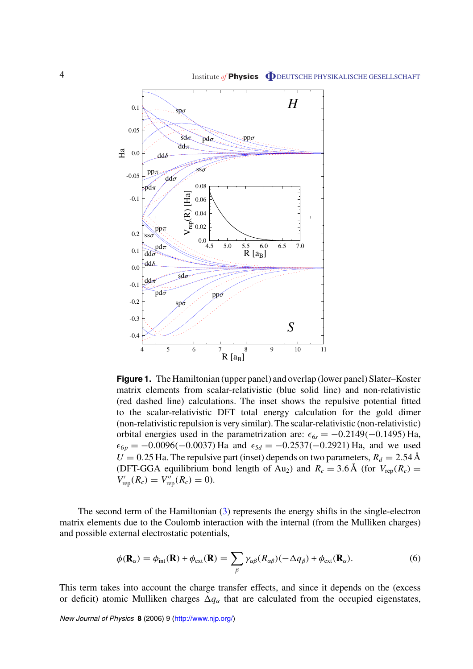<span id="page-3-0"></span>

**Figure 1.** The Hamiltonian (upper panel) and overlap (lower panel) Slater–Koster matrix elements from scalar-relativistic (blue solid line) and non-relativistic (red dashed line) calculations. The inset shows the repulsive potential fitted to the scalar-relativistic DFT total energy calculation for the gold dimer (non-relativistic repulsion is very similar). The scalar-relativistic (non-relativistic) orbital energies used in the parametrization are:  $\epsilon_{6s} = -0.2149(-0.1495)$  Ha,  $\epsilon_{6p} = -0.0096(-0.0037)$  Ha and  $\epsilon_{5d} = -0.2537(-0.2921)$  Ha, and we used  $U = 0.25$  Ha. The repulsive part (inset) depends on two parameters,  $R_d = 2.54$  Å (DFT-GGA equilibrium bond length of Au<sub>2</sub>) and  $R_c = 3.6 \text{ Å}$  (for  $V_{\text{rep}}(R_c) =$  $V'_{\rm rep}(R_c) = V''_{\rm rep}(R_c) = 0$ ).

The second term of the Hamiltonian ([3\)](#page-2-0) represents the energy shifts in the single-electron matrix elements due to the Coulomb interaction with the internal (from the Mulliken charges) and possible external electrostatic potentials,

$$
\phi(\mathbf{R}_{\alpha}) = \phi_{\text{int}}(\mathbf{R}) + \phi_{\text{ext}}(\mathbf{R}) = \sum_{\beta} \gamma_{\alpha\beta} (R_{\alpha\beta}) (-\Delta q_{\beta}) + \phi_{\text{ext}}(\mathbf{R}_{\alpha}). \tag{6}
$$

This term takes into account the charge transfer effects, and since it depends on the (excess or deficit) atomic Mulliken charges  $\Delta q_\alpha$  that are calculated from the occupied eigenstates,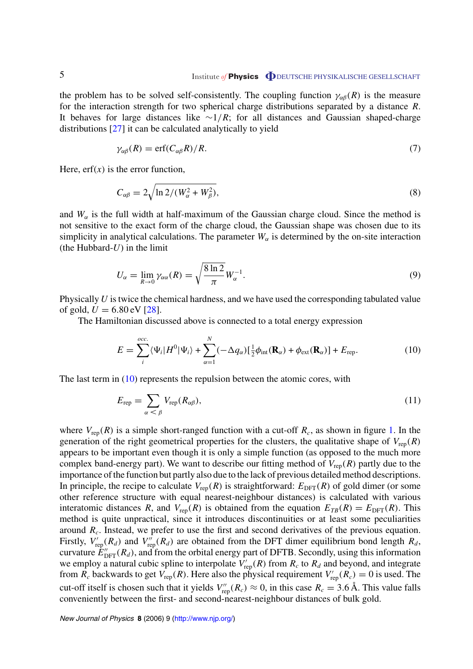the problem has to be solved self-consistently. The coupling function  $\gamma_{\alpha\beta}(R)$  is the measure for the interaction strength for two spherical charge distributions separated by a distance *R*. It behaves for large distances like ∼1*/R*; for all distances and Gaussian shaped-charge distributions [[27](#page-10-0)] it can be calculated analytically to yield

$$
\gamma_{\alpha\beta}(R) = \text{erf}(C_{\alpha\beta}R)/R. \tag{7}
$$

Here,  $erf(x)$  is the error function,

$$
C_{\alpha\beta} = 2\sqrt{\ln 2/(W_{\alpha}^2 + W_{\beta}^2)},\tag{8}
$$

and  $W_\alpha$  is the full width at half-maximum of the Gaussian charge cloud. Since the method is not sensitive to the exact form of the charge cloud, the Gaussian shape was chosen due to its simplicity in analytical calculations. The parameter  $W_{\alpha}$  is determined by the on-site interaction (the Hubbard-*U*) in the limit

$$
U_{\alpha} = \lim_{R \to 0} \gamma_{\alpha\alpha}(R) = \sqrt{\frac{8 \ln 2}{\pi}} W_{\alpha}^{-1}.
$$
\n(9)

Physically *U* is twice the chemical hardness, and we have used the corresponding tabulated value of gold,  $U = 6.80 \text{ eV}$  [[28\]](#page-10-0).

The Hamiltonian discussed above is connected to a total energy expression

$$
E = \sum_{i}^{occ.} \langle \Psi_i | H^0 | \Psi_i \rangle + \sum_{\alpha=1}^{N} (-\Delta q_{\alpha}) [\frac{1}{2} \phi_{int}(\mathbf{R}_{\alpha}) + \phi_{ext}(\mathbf{R}_{\alpha})] + E_{\text{rep}}.
$$
 (10)

The last term in (10) represents the repulsion between the atomic cores, with

$$
E_{\rm rep} = \sum_{\alpha < \beta} V_{\rm rep}(R_{\alpha\beta}),\tag{11}
$$

where  $V_{\text{rep}}(R)$  is a simple short-ranged function with a cut-off  $R_c$ , as shown in figure [1.](#page-3-0) In the generation of the right geometrical properties for the clusters, the qualitative shape of  $V_{\text{rep}}(R)$ appears to be important even though it is only a simple function (as opposed to the much more complex band-energy part). We want to describe our fitting method of  $V_{\text{rep}}(R)$  partly due to the importance of the function but partly also due to the lack of previous detailed method descriptions. In principle, the recipe to calculate  $V_{\text{rep}}(R)$  is straightforward:  $E_{\text{DFT}}(R)$  of gold dimer (or some other reference structure with equal nearest-neighbour distances) is calculated with various interatomic distances *R*, and  $V_{\text{rep}}(R)$  is obtained from the equation  $E_{TB}(R) = E_{\text{DFT}}(R)$ . This method is quite unpractical, since it introduces discontinuities or at least some peculiarities around *Rc*. Instead, we prefer to use the first and second derivatives of the previous equation. Firstly,  $V_{\text{rep}}'(R_d)$  and  $V_{\text{rep}}''(R_d)$  are obtained from the DFT dimer equilibrium bond length  $R_d$ , curvature  $E_{\text{DFT}}^{\prime\prime}(R_d)$ , and from the orbital energy part of DFTB. Secondly, using this information we employ a natural cubic spline to interpolate  $V_{\text{rep}}'(R)$  from  $R_c$  to  $R_d$  and beyond, and integrate from  $R_c$  backwards to get  $V_{\text{rep}}(R)$ . Here also the physical requirement  $V'_{\text{rep}}(R_c) = 0$  is used. The cut-off itself is chosen such that it yields  $V''_{\text{rep}}(R_c) \approx 0$ , in this case  $R_c = 3.6 \text{ Å}$ . This value falls conveniently between the first- and second-nearest-neighbour distances of bulk gold.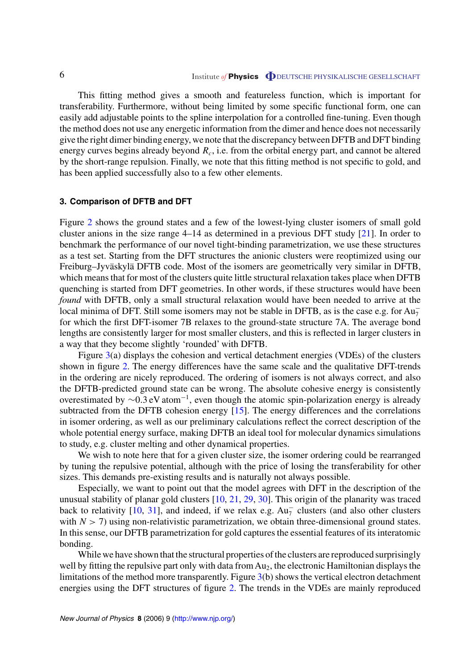<span id="page-5-0"></span>This fitting method gives a smooth and featureless function, which is important for transferability. Furthermore, without being limited by some specific functional form, one can easily add adjustable points to the spline interpolation for a controlled fine-tuning. Even though the method does not use any energetic information from the dimer and hence does not necessarily give the right dimer binding energy, we note that the discrepancy between DFTB and DFT binding energy curves begins already beyond *R<sub>c</sub>*, i.e. from the orbital energy part, and cannot be altered by the short-range repulsion. Finally, we note that this fitting method is not specific to gold, and has been applied successfully also to a few other elements.

# **3. Comparison of DFTB and DFT**

Figure [2](#page-6-0) shows the ground states and a few of the lowest-lying cluster isomers of small gold cluster anions in the size range 4–14 as determined in a previous DFT study [[21\]](#page-10-0). In order to benchmark the performance of our novel tight-binding parametrization, we use these structures as a test set. Starting from the DFT structures the anionic clusters were reoptimized using our Freiburg–Jyväskylä DFTB code. Most of the isomers are geometrically very similar in DFTB, which means that for most of the clusters quite little structural relaxation takes place when DFTB quenching is started from DFT geometries. In other words, if these structures would have been *found* with DFTB, only a small structural relaxation would have been needed to arrive at the local minima of DFT. Still some isomers may not be stable in DFTB, as is the case e.g. for  $Au_7^$ for which the first DFT-isomer 7B relaxes to the ground-state structure 7A. The average bond lengths are consistently larger for most smaller clusters, and this is reflected in larger clusters in a way that they become slightly 'rounded' with DFTB.

Figure [3\(](#page-7-0)a) displays the cohesion and vertical detachment energies (VDEs) of the clusters shown in figure [2](#page-6-0). The energy differences have the same scale and the qualitative DFT-trends in the ordering are nicely reproduced. The ordering of isomers is not always correct, and also the DFTB-predicted ground state can be wrong. The absolute cohesive energy is consistently overestimated by  $\sim 0.3$  eV atom<sup>-1</sup>, even though the atomic spin-polarization energy is already subtracted from the DFTB cohesion energy [[15\]](#page-10-0). The energy differences and the correlations in isomer ordering, as well as our preliminary calculations reflect the correct description of the whole potential energy surface, making DFTB an ideal tool for molecular dynamics simulations to study, e.g. cluster melting and other dynamical properties.

We wish to note here that for a given cluster size, the isomer ordering could be rearranged by tuning the repulsive potential, although with the price of losing the transferability for other sizes. This demands pre-existing results and is naturally not always possible.

Especially, we want to point out that the model agrees with DFT in the description of the unusual stability of planar gold clusters [[10,](#page-10-0) [21,](#page-10-0) [29,](#page-10-0) [30\]](#page-10-0). This origin of the planarity was traced back to relativity [[10](#page-10-0), [31\]](#page-10-0), and indeed, if we relax e.g.  $Au_7^-$  clusters (and also other clusters with  $N > 7$ ) using non-relativistic parametrization, we obtain three-dimensional ground states. In this sense, our DFTB parametrization for gold captures the essential features of its interatomic bonding.

While we have shown that the structural properties of the clusters are reproduced surprisingly well by fitting the repulsive part only with data from  $Au<sub>2</sub>$ , the electronic Hamiltonian displays the limitations of the method more transparently. Figure [3\(](#page-7-0)b) shows the vertical electron detachment energies using the DFT structures of figure [2](#page-6-0). The trends in the VDEs are mainly reproduced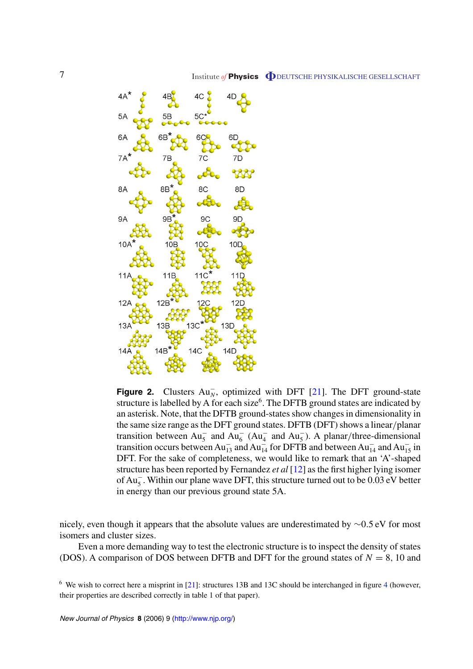<span id="page-6-0"></span>

**Figure 2.** Clusters  $Au_N^-$ , optimized with DFT [[21\]](#page-10-0). The DFT ground-state structure is labelled by A for each size<sup>6</sup>. The DFTB ground states are indicated by an asterisk. Note, that the DFTB ground-states show changes in dimensionality in the same size range as the DFT ground states. DFTB (DFT) shows a linear*/*planar transition between  $Au_5^-$  and  $Au_6^ (Au_4^-$  and  $Au_5^-$ ). A planar/three-dimensional transition occurs between  $Au_{13}^-$  and  $Au_{14}^-$  for DFTB and between  $Au_{14}^-$  and  $Au_{15}^-$  in DFT. For the sake of completeness, we would like to remark that an 'A'-shaped structure has been reported by Fernandez *et al* [[12\]](#page-10-0) as the first higher lying isomer of Au<sup>−</sup> <sup>5</sup> . Within our plane wave DFT, this structure turned out to be 0.03 eV better in energy than our previous ground state 5A.

nicely, even though it appears that the absolute values are underestimated by ∼0*.*5 eV for most isomers and cluster sizes.

Even a more demanding way to test the electronic structure is to inspect the density of states (DOS). A comparison of DOS between DFTB and DFT for the ground states of  $N = 8$ , 10 and

<sup>6</sup> We wish to correct here a misprint in [\[21](#page-10-0)]: structures 13B and 13C should be interchanged in figure [4](#page-8-0) (however, their properties are described correctly in table 1 of that paper).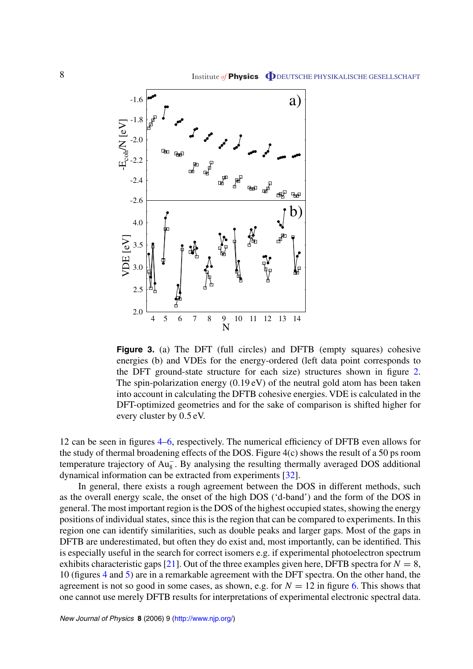<span id="page-7-0"></span>

**Figure 3.** (a) The DFT (full circles) and DFTB (empty squares) cohesive energies (b) and VDEs for the energy-ordered (left data point corresponds to the DFT ground-state structure for each size) structures shown in figure [2](#page-6-0). The spin-polarization energy (0*.*19 eV) of the neutral gold atom has been taken into account in calculating the DFTB cohesive energies. VDE is calculated in the DFT-optimized geometries and for the sake of comparison is shifted higher for every cluster by 0*.*5 eV.

12 can be seen in figures [4](#page-8-0)[–6](#page-9-0), respectively. The numerical efficiency of DFTB even allows for the study of thermal broadening effects of the DOS. Figure 4(c) shows the result of a 50 ps room temperature trajectory of  $Au_8^-$ . By analysing the resulting thermally averaged DOS additional dynamical information can be extracted from experiments [\[32](#page-10-0)].

In general, there exists a rough agreement between the DOS in different methods, such as the overall energy scale, the onset of the high DOS ('d-band') and the form of the DOS in general. The most important region is the DOS of the highest occupied states, showing the energy positions of individual states, since this is the region that can be compared to experiments. In this region one can identify similarities, such as double peaks and larger gaps. Most of the gaps in DFTB are underestimated, but often they do exist and, most importantly, can be identified. This is especially useful in the search for correct isomers e.g. if experimental photoelectron spectrum exhibits characteristic gaps [[21](#page-10-0)]. Out of the three examples given here, DFTB spectra for  $N = 8$ , 10 (figures [4](#page-8-0) and [5\)](#page-8-0) are in a remarkable agreement with the DFT spectra. On the other hand, the agreement is not so good in some cases, as shown, e.g. for  $N = 12$  in figure [6](#page-9-0). This shows that one cannot use merely DFTB results for interpretations of experimental electronic spectral data.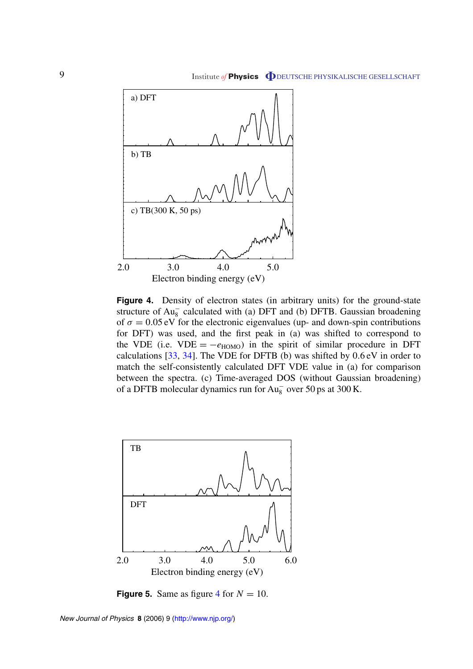<span id="page-8-0"></span>

Figure 4. Density of electron states (in arbitrary units) for the ground-state structure of  $Au_8^-$  calculated with (a) DFT and (b) DFTB. Gaussian broadening of  $\sigma = 0.05$  eV for the electronic eigenvalues (up- and down-spin contributions for DFT) was used, and the first peak in (a) was shifted to correspond to the VDE (i.e. VDE =  $-e_{HOMO}$ ) in the spirit of similar procedure in DFT calculations [\[33](#page-10-0), [34\]](#page-10-0). The VDE for DFTB (b) was shifted by 0*.*6 eV in order to match the self-consistently calculated DFT VDE value in (a) for comparison between the spectra. (c) Time-averaged DOS (without Gaussian broadening) of a DFTB molecular dynamics run for  $Au_8^-$  over 50 ps at 300 K.



**Figure 5.** Same as figure 4 for  $N = 10$ .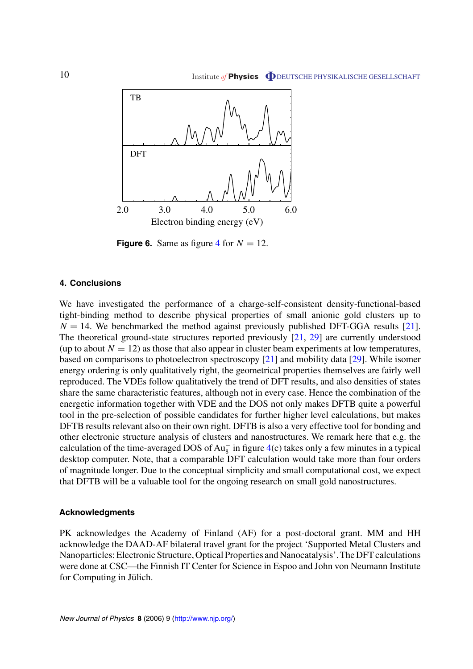<span id="page-9-0"></span>

**Figure 6.** Same as figure [4](#page-8-0) for  $N = 12$ .

#### **4. Conclusions**

We have investigated the performance of a charge-self-consistent density-functional-based tight-binding method to describe physical properties of small anionic gold clusters up to  $N = 14$ . We benchmarked the method against previously published DFT-GGA results [\[21](#page-10-0)]. The theoretical ground-state structures reported previously [\[21](#page-10-0), [29](#page-10-0)] are currently understood (up to about  $N = 12$ ) as those that also appear in cluster beam experiments at low temperatures, based on comparisons to photoelectron spectroscopy [[21\]](#page-10-0) and mobility data [\[29](#page-10-0)]. While isomer energy ordering is only qualitatively right, the geometrical properties themselves are fairly well reproduced. The VDEs follow qualitatively the trend of DFT results, and also densities of states share the same characteristic features, although not in every case. Hence the combination of the energetic information together with VDE and the DOS not only makes DFTB quite a powerful tool in the pre-selection of possible candidates for further higher level calculations, but makes DFTB results relevant also on their own right. DFTB is also a very effective tool for bonding and other electronic structure analysis of clusters and nanostructures. We remark here that e.g. the calculation of the time-averaged DOS of  $Au_8^-$  in figure [4](#page-8-0)(c) takes only a few minutes in a typical desktop computer. Note, that a comparable DFT calculation would take more than four orders of magnitude longer. Due to the conceptual simplicity and small computational cost, we expect that DFTB will be a valuable tool for the ongoing research on small gold nanostructures.

#### **Acknowledgments**

PK acknowledges the Academy of Finland (AF) for a post-doctoral grant. MM and HH acknowledge the DAAD-AF bilateral travel grant for the project 'Supported Metal Clusters and Nanoparticles: Electronic Structure, Optical Properties and Nanocatalysis'. The DFT calculations were done at CSC—the Finnish IT Center for Science in Espoo and John von Neumann Institute for Computing in Jülich.